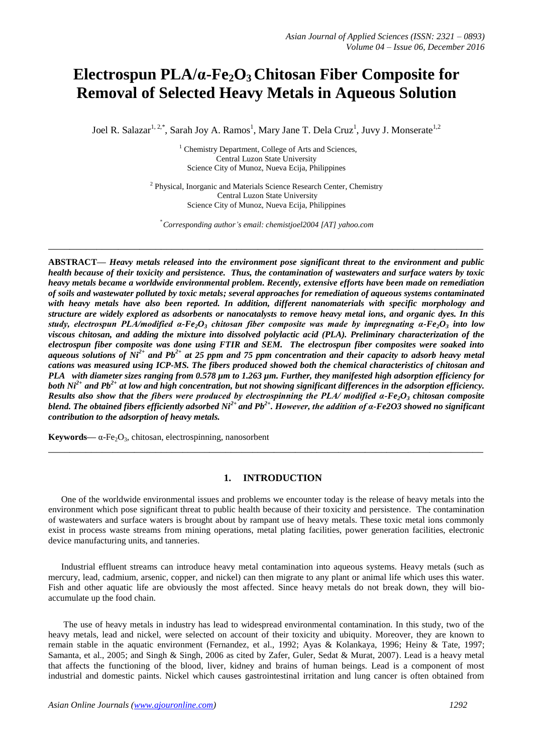# **Electrospun PLA/α-Fe2O3 Chitosan Fiber Composite for Removal of Selected Heavy Metals in Aqueous Solution**

Joel R. Salazar<sup>1, 2,\*</sup>, Sarah Joy A. Ramos<sup>1</sup>, Mary Jane T. Dela Cruz<sup>1</sup>, Juvy J. Monserate<sup>1,2</sup>

<sup>1</sup> Chemistry Department, College of Arts and Sciences, Central Luzon State University Science City of Munoz, Nueva Ecija, Philippines

<sup>2</sup> Physical, Inorganic and Materials Science Research Center, Chemistry Central Luzon State University Science City of Munoz, Nueva Ecija, Philippines

\* *Corresponding author's email: chemistjoel2004 [\[AT\] yahoo.com](mailto:hemistjoel2004@yahoo.com)*

**\_\_\_\_\_\_\_\_\_\_\_\_\_\_\_\_\_\_\_\_\_\_\_\_\_\_\_\_\_\_\_\_\_\_\_\_\_\_\_\_\_\_\_\_\_\_\_\_\_\_\_\_\_\_\_\_\_\_\_\_\_\_\_\_\_\_\_\_\_\_\_\_\_\_\_\_\_\_\_\_\_**

**ABSTRACT—** *Heavy metals released into the environment pose significant threat to the environment and public health because of their toxicity and persistence. Thus, the contamination of wastewaters and surface waters by toxic heavy metals became a worldwide environmental problem. Recently, extensive efforts have been made on remediation of soils and wastewater polluted by toxic metals; several approaches for remediation of aqueous systems contaminated*  with heavy metals have also been reported. In addition, different nanomaterials with specific morphology and *structure are widely explored as adsorbents or nanocatalysts to remove heavy metal ions, and organic dyes. In this study, electrospun PLA/modified α-Fe2O<sup>3</sup> chitosan fiber composite was made by impregnating α-Fe2O<sup>3</sup> into low viscous chitosan, and adding the mixture into dissolved polylactic acid (PLA). Preliminary characterization of the electrospun fiber composite was done using FTIR and SEM. The electrospun fiber composites were soaked into aqueous solutions of Ni2+ and Pb2+ at 25 ppm and 75 ppm concentration and their capacity to adsorb heavy metal cations was measured using ICP-MS. The fibers produced showed both the chemical characteristics of chitosan and PLA with diameter sizes ranging from 0.578 µm to 1.263 µm. Further, they manifested high adsorption efficiency for both Ni2+ and Pb2+ at low and high concentration, but not showing significant differences in the adsorption efficiency. Results also show that the fibers were produced by electrospinning the PLA/ modified α-Fe2O<sup>3</sup> chitosan composite blend. The obtained fibers efficiently adsorbed Ni2+ and Pb2+ . However, the addition of α-Fe2O3 showed no significant contribution to the adsorption of heavy metals.*

**Keywords—**  $\alpha$ -Fe<sub>2</sub>O<sub>3</sub>, chitosan, electrospinning, nanosorbent

# **1. INTRODUCTION**

**\_\_\_\_\_\_\_\_\_\_\_\_\_\_\_\_\_\_\_\_\_\_\_\_\_\_\_\_\_\_\_\_\_\_\_\_\_\_\_\_\_\_\_\_\_\_\_\_\_\_\_\_\_\_\_\_\_\_\_\_\_\_\_\_\_\_\_\_\_\_\_\_\_\_\_\_\_\_\_\_\_**

One of the worldwide environmental issues and problems we encounter today is the release of heavy metals into the environment which pose significant threat to public health because of their toxicity and persistence. The contamination of wastewaters and surface waters is brought about by rampant use of heavy metals. These toxic metal ions commonly exist in process waste streams from mining operations, metal plating facilities, power generation facilities, electronic device manufacturing units, and tanneries.

Industrial effluent streams can introduce heavy metal contamination into aqueous systems. Heavy metals (such as mercury, lead, cadmium, arsenic, copper, and nickel) can then migrate to any plant or animal life which uses this water. Fish and other aquatic life are obviously the most affected. Since heavy metals do not break down, they will bioaccumulate up the food chain.

The use of heavy metals in industry has lead to widespread environmental contamination. In this study, two of the heavy metals, lead and nickel, were selected on account of their toxicity and ubiquity. Moreover, they are known to remain stable in the aquatic environment (Fernandez, et al., 1992; Ayas & Kolankaya, 1996; Heiny & Tate, 1997; Samanta, et al., 2005; and Singh & Singh, 2006 as cited by Zafer, Guler, Sedat & Murat, 2007). Lead is a heavy metal that affects the functioning of the blood, liver, kidney and brains of human beings. Lead is a component of most industrial and domestic paints. Nickel which causes gastrointestinal irritation and lung cancer is often obtained from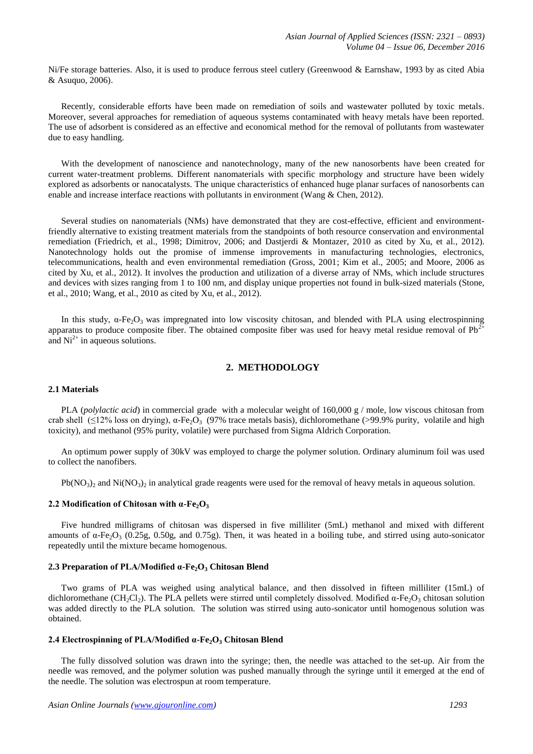Ni/Fe storage batteries. Also, it is used to produce ferrous steel cutlery (Greenwood & Earnshaw, 1993 by as cited Abia & Asuquo, 2006).

Recently, considerable efforts have been made on remediation of soils and wastewater polluted by toxic metals. Moreover, several approaches for remediation of aqueous systems contaminated with heavy metals have been reported. The use of adsorbent is considered as an effective and economical method for the removal of pollutants from wastewater due to easy handling.

With the development of nanoscience and nanotechnology, many of the new nanosorbents have been created for current water-treatment problems. Different nanomaterials with specific morphology and structure have been widely explored as adsorbents or nanocatalysts. The unique characteristics of enhanced huge planar surfaces of nanosorbents can enable and increase interface reactions with pollutants in environment (Wang & Chen, 2012).

Several studies on nanomaterials (NMs) have demonstrated that they are cost-effective, efficient and environmentfriendly alternative to existing treatment materials from the standpoints of both resource conservation and environmental remediation (Friedrich, et al., 1998; Dimitrov, 2006; and Dastjerdi & Montazer, 2010 as cited by Xu, et al., 2012). Nanotechnology holds out the promise of immense improvements in manufacturing technologies, electronics, telecommunications, health and even environmental remediation (Gross, 2001; Kim et al., 2005; and Moore, 2006 as cited by Xu, et al., 2012). It involves the production and utilization of a diverse array of NMs, which include structures and devices with sizes ranging from 1 to 100 nm, and display unique properties not found in bulk-sized materials (Stone, et al., 2010; Wang, et al., 2010 as cited by Xu, et al., 2012).

In this study,  $\alpha$ -Fe<sub>2</sub>O<sub>3</sub> was impregnated into low viscosity chitosan, and blended with PLA using electrospinning apparatus to produce composite fiber. The obtained composite fiber was used for heavy metal residue removal of  $Pb<sup>2</sup>$ and  $Ni<sup>2+</sup>$  in aqueous solutions.

# **2. METHODOLOGY**

#### **2.1 Materials**

PLA (*polylactic acid*) in commercial grade with a molecular weight of 160,000 g / mole, low viscous chitosan from crab shell (<12% loss on drying), α-Fe<sub>2</sub>O<sub>3</sub> (97% trace metals basis), dichloromethane (>99.9% purity, volatile and high toxicity), and methanol (95% purity, volatile) were purchased from Sigma Aldrich Corporation.

An optimum power supply of 30kV was employed to charge the polymer solution. Ordinary aluminum foil was used to collect the nanofibers.

 $Pb(NO<sub>3</sub>)<sub>2</sub>$  and Ni(NO<sub>3</sub>)<sub>2</sub> in analytical grade reagents were used for the removal of heavy metals in aqueous solution.

# **2.2 Modification of Chitosan with α-Fe2O<sup>3</sup>**

Five hundred milligrams of chitosan was dispersed in five milliliter (5mL) methanol and mixed with different amounts of  $\alpha$ -Fe<sub>2</sub>O<sub>3</sub> (0.25g, 0.50g, and 0.75g). Then, it was heated in a boiling tube, and stirred using auto-sonicator repeatedly until the mixture became homogenous.

# **2.3 Preparation of PLA/Modified α-Fe2O<sup>3</sup> Chitosan Blend**

Two grams of PLA was weighed using analytical balance, and then dissolved in fifteen milliliter (15mL) of dichloromethane (CH<sub>2</sub>Cl<sub>2</sub>). The PLA pellets were stirred until completely dissolved. Modified  $\alpha$ -Fe<sub>2</sub>O<sub>3</sub> chitosan solution was added directly to the PLA solution. The solution was stirred using auto-sonicator until homogenous solution was obtained.

#### **2.4 Electrospinning of PLA/Modified α-Fe2O<sup>3</sup> Chitosan Blend**

The fully dissolved solution was drawn into the syringe; then, the needle was attached to the set-up. Air from the needle was removed, and the polymer solution was pushed manually through the syringe until it emerged at the end of the needle. The solution was electrospun at room temperature.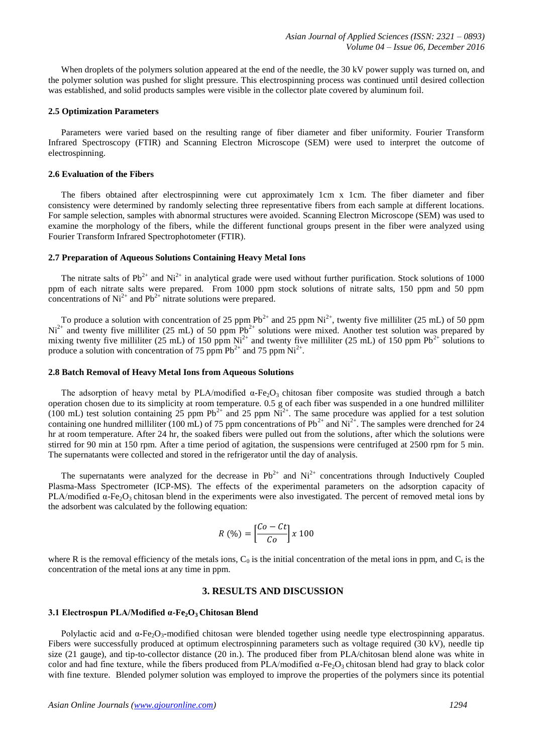When droplets of the polymers solution appeared at the end of the needle, the 30 kV power supply was turned on, and the polymer solution was pushed for slight pressure. This electrospinning process was continued until desired collection was established, and solid products samples were visible in the collector plate covered by aluminum foil.

# **2.5 Optimization Parameters**

Parameters were varied based on the resulting range of fiber diameter and fiber uniformity. Fourier Transform Infrared Spectroscopy (FTIR) and Scanning Electron Microscope (SEM) were used to interpret the outcome of electrospinning.

# **2.6 Evaluation of the Fibers**

The fibers obtained after electrospinning were cut approximately 1cm x 1cm. The fiber diameter and fiber consistency were determined by randomly selecting three representative fibers from each sample at different locations. For sample selection, samples with abnormal structures were avoided. Scanning Electron Microscope (SEM) was used to examine the morphology of the fibers, while the different functional groups present in the fiber were analyzed using Fourier Transform Infrared Spectrophotometer (FTIR).

# **2.7 Preparation of Aqueous Solutions Containing Heavy Metal Ions**

The nitrate salts of  $Pb^{2+}$  and  $Ni^{2+}$  in analytical grade were used without further purification. Stock solutions of 1000 ppm of each nitrate salts were prepared. From 1000 ppm stock solutions of nitrate salts, 150 ppm and 50 ppm concentrations of  $Ni^{2+}$  and  $Pb^{2+}$  nitrate solutions were prepared.

To produce a solution with concentration of 25 ppm  $Pb^{2+}$  and 25 ppm  $Ni^{2+}$ , twenty five milliliter (25 mL) of 50 ppm  $Ni<sup>2+</sup>$  and twenty five milliliter (25 mL) of 50 ppm  $Pb<sup>2+</sup>$  solutions were mixed. Another test solution was prepared by mixing twenty five milliliter (25 mL) of 150 ppm Ni<sup>2+</sup> and twenty five milliliter (25 mL) of 150 ppm Pb<sup>2+</sup> solutions to produce a solution with concentration of 75 ppm  $Pb^{2+}$  and 75 ppm  $Ni^{2+}$ .

#### **2.8 Batch Removal of Heavy Metal Ions from Aqueous Solutions**

The adsorption of heavy metal by PLA/modified  $\alpha$ -Fe<sub>2</sub>O<sub>3</sub> chitosan fiber composite was studied through a batch operation chosen due to its simplicity at room temperature. 0.5 g of each fiber was suspended in a one hundred milliliter (100 mL) test solution containing 25 ppm  $Pb^{2+}$  and 25 ppm  $Ni^{2+}$ . The same procedure was applied for a test solution containing one hundred milliliter (100 mL) of 75 ppm concentrations of  $Pb^{2+}$  and  $Ni^{2+}$ . The samples were drenched for 24 hr at room temperature. After 24 hr, the soaked fibers were pulled out from the solutions, after which the solutions were stirred for 90 min at 150 rpm. After a time period of agitation, the suspensions were centrifuged at 2500 rpm for 5 min. The supernatants were collected and stored in the refrigerator until the day of analysis.

The supernatants were analyzed for the decrease in  $Pb^{2+}$  and  $Ni^{2+}$  concentrations through Inductively Coupled Plasma-Mass Spectrometer (ICP-MS). The effects of the experimental parameters on the adsorption capacity of PLA/modified  $\alpha$ -Fe<sub>2</sub>O<sub>3</sub> chitosan blend in the experiments were also investigated. The percent of removed metal ions by the adsorbent was calculated by the following equation:

$$
R\left(\% \right) = \left[\frac{Co - Ct}{Co}\right] \times 100
$$

where R is the removal efficiency of the metals ions,  $C_0$  is the initial concentration of the metal ions in ppm, and  $C_t$  is the concentration of the metal ions at any time in ppm.

# **3. RESULTS AND DISCUSSION**

#### **3.1 Electrospun PLA/Modified α-Fe2O3 Chitosan Blend**

Polylactic acid and α**-**Fe2O3**-**modified chitosan were blended together using needle type electrospinning apparatus. Fibers were successfully produced at optimum electrospinning parameters such as voltage required (30 kV), needle tip size (21 gauge), and tip-to-collector distance (20 in.). The produced fiber from PLA/chitosan blend alone was white in color and had fine texture, while the fibers produced from PLA/modified  $\alpha$ -Fe<sub>2</sub>O<sub>3</sub> chitosan blend had gray to black color with fine texture. Blended polymer solution was employed to improve the properties of the polymers since its potential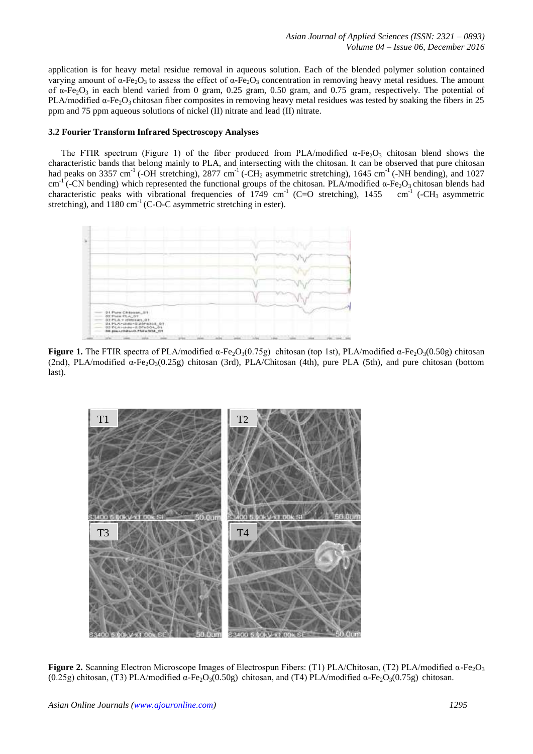application is for heavy metal residue removal in aqueous solution. Each of the blended polymer solution contained varying amount of α**-**Fe2O3 to assess the effect of α**-**Fe2O<sup>3</sup> concentration in removing heavy metal residues. The amount of α**-**Fe2O<sup>3</sup> in each blend varied from 0 gram, 0.25 gram, 0.50 gram, and 0.75 gram, respectively. The potential of PLA/modified  $\alpha$ -Fe<sub>2</sub>O<sub>3</sub> chitosan fiber composites in removing heavy metal residues was tested by soaking the fibers in 25 ppm and 75 ppm aqueous solutions of nickel (II) nitrate and lead (II) nitrate.

# **3.2 Fourier Transform Infrared Spectroscopy Analyses**

The FTIR spectrum (Figure 1) of the fiber produced from PLA/modified  $\alpha$ -Fe<sub>2</sub>O<sub>3</sub> chitosan blend shows the characteristic bands that belong mainly to PLA, and intersecting with the chitosan. It can be observed that pure chitosan had peaks on 3357 cm<sup>-1</sup> (-OH stretching), 2877 cm<sup>-1</sup> (-CH<sub>2</sub> asymmetric stretching), 1645 cm<sup>-1</sup> (-NH bending), and 1027 cm<sup>-1</sup> (-CN bending) which represented the functional groups of the chitosan. PLA/modified  $\alpha$ -Fe<sub>2</sub>O<sub>3</sub> chitosan blends had characteristic peaks with vibrational frequencies of 1749 cm<sup>-1</sup> (C=O stretching), 1455 cm<sup>-1</sup> characteristic peaks with vibrational frequencies of  $1749 \text{ cm}^{-1}$  (C=O stretching),  $1455$ stretching), and 1180 cm<sup>-1</sup> (C-O-C asymmetric stretching in ester).



**Figure 1.** The FTIR spectra of PLA/modified  $\alpha$ -Fe-O<sub>3</sub>(0.75g) chitosan (top 1st), PLA/modified  $\alpha$ -Fe-O<sub>3</sub>(0.50g) chitosan (2nd), PLA/modified α-Fe<sub>2</sub>O<sub>3</sub>(0.25g) chitosan (3rd), PLA/Chitosan (4th), pure PLA (5th), and pure chitosan (bottom last).



**Figure 2.** Scanning Electron Microscope Images of Electrospun Fibers: (T1) PLA/Chitosan, (T2) PLA/modified α-Fe<sub>2</sub>O<sub>3</sub> (0.25g) chitosan, (T3) PLA/modified  $\alpha$ -Fe<sub>2</sub>O<sub>3</sub>(0.50g) chitosan, and (T4) PLA/modified  $\alpha$ -Fe<sub>2</sub>O<sub>3</sub>(0.75g) chitosan.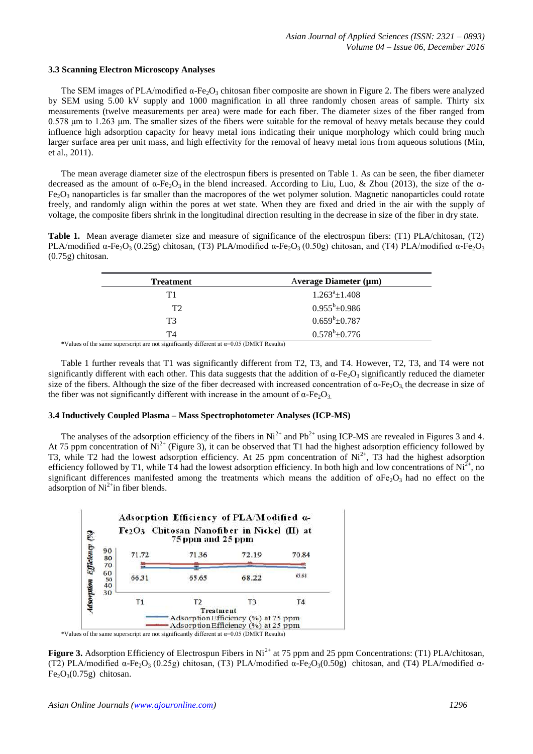#### **3.3 Scanning Electron Microscopy Analyses**

The SEM images of PLA/modified  $\alpha$ -Fe<sub>2</sub>O<sub>3</sub> chitosan fiber composite are shown in Figure 2. The fibers were analyzed by SEM using 5.00 kV supply and 1000 magnification in all three randomly chosen areas of sample. Thirty six measurements (twelve measurements per area) were made for each fiber. The diameter sizes of the fiber ranged from 0.578 μm to 1.263 μm. The smaller sizes of the fibers were suitable for the removal of heavy metals because they could influence high adsorption capacity for heavy metal ions indicating their unique morphology which could bring much larger surface area per unit mass, and high effectivity for the removal of heavy metal ions from aqueous solutions (Min, et al., 2011).

The mean average diameter size of the electrospun fibers is presented on Table 1. As can be seen, the fiber diameter decreased as the amount of  $\alpha$ -Fe<sub>2</sub>O<sub>3</sub> in the blend increased. According to Liu, Luo, & Zhou (2013), the size of the  $\alpha$ - $Fe<sub>2</sub>O<sub>3</sub>$  nanoparticles is far smaller than the macropores of the wet polymer solution. Magnetic nanoparticles could rotate freely, and randomly align within the pores at wet state. When they are fixed and dried in the air with the supply of voltage, the composite fibers shrink in the longitudinal direction resulting in the decrease in size of the fiber in dry state.

**Table 1.** Mean average diameter size and measure of significance of the electrospun fibers: (T1) PLA/chitosan, (T2) PLA/modified  $\alpha$ -Fe<sub>2</sub>O<sub>3</sub> (0.25g) chitosan, (T3) PLA/modified  $\alpha$ -Fe<sub>2</sub>O<sub>3</sub> (0.50g) chitosan, and (T4) PLA/modified  $\alpha$ -Fe<sub>2</sub>O<sub>3</sub> (0.75g) chitosan.

| <b>Treatment</b> | Average Diameter $(\mu m)$ |
|------------------|----------------------------|
| Τ1               | $1.263^a \pm 1.408$        |
| T <sub>2</sub>   | $0.955^b \pm 0.986$        |
| T3               | $0.659^b \pm 0.787$        |
| T4               | $0.578^b \pm 0.776$        |

\*Values of the same superscript are not significantly different at  $\alpha$ =0.05 (DMRT Results)

Table 1 further reveals that T1 was significantly different from T2, T3, and T4. However, T2, T3, and T4 were not significantly different with each other. This data suggests that the addition of  $\alpha$ -Fe<sub>2</sub>O<sub>3</sub> significantly reduced the diameter size of the fibers. Although the size of the fiber decreased with increased concentration of  $\alpha$ -Fe<sub>2</sub>O<sub>3</sub>, the decrease in size of the fiber was not significantly different with increase in the amount of  $\alpha$ -Fe<sub>2</sub>O<sub>3</sub>.

# **3.4 Inductively Coupled Plasma – Mass Spectrophotometer Analyses (ICP-MS)**

The analyses of the adsorption efficiency of the fibers in  $Ni^{2+}$  and  $Pb^{2+}$  using ICP-MS are revealed in Figures 3 and 4. At 75 ppm concentration of  $\overrightarrow{Ni}^2$  (Figure 3), it can be observed that T1 had the highest adsorption efficiency followed by T3, while T2 had the lowest adsorption efficiency. At 25 ppm concentration of  $Ni^{2+}$ , T3 had the highest adsorption efficiency followed by T1, while T4 had the lowest adsorption efficiency. In both high and low concentrations of  $Ni^{2+}$ , no significant differences manifested among the treatments which means the addition of  $\alpha Fe_2O_3$  had no effect on the adsorption of  $Ni<sup>2+</sup>$ in fiber blends.



**Figure 3.** Adsorption Efficiency of Electrospun Fibers in Ni<sup>2+</sup> at 75 ppm and 25 ppm Concentrations: (T1) PLA/chitosan, (T2) PLA/modified  $\alpha$ -Fe<sub>2</sub>O<sub>3</sub> (0.25g) chitosan, (T3) PLA/modified  $\alpha$ -Fe<sub>2</sub>O<sub>3</sub>(0.50g) chitosan, and (T4) PLA/modified  $\alpha$ - $Fe<sub>2</sub>O<sub>3</sub>(0.75g)$  chitosan.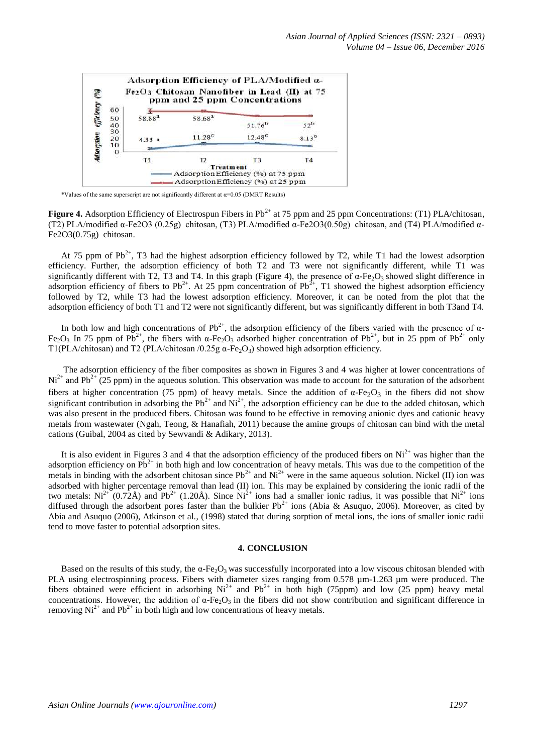

\*Values of the same superscript are not significantly different at  $\alpha$ =0.05 (DMRT Results)

**Figure 4.** Adsorption Efficiency of Electrospun Fibers in Pb<sup>2+</sup> at 75 ppm and 25 ppm Concentrations: (T1) PLA/chitosan, (T2) PLA/modified α-Fe2O3 (0.25g) chitosan, (T3) PLA/modified α-Fe2O3(0.50g) chitosan, and (T4) PLA/modified α-Fe2O3(0.75g) chitosan.

At 75 ppm of  $Pb^{2+}$ , T3 had the highest adsorption efficiency followed by T2, while T1 had the lowest adsorption efficiency. Further, the adsorption efficiency of both T2 and T3 were not significantly different, while T1 was significantly different with T2, T3 and T4. In this graph (Figure 4), the presence of  $\alpha$ -Fe<sub>2</sub>O<sub>3</sub> showed slight difference in adsorption efficiency of fibers to Pb<sup>2+</sup>. At 25 ppm concentration of Pb<sup>2+</sup>, T1 showed the highest adsorption efficiency followed by T2, while T3 had the lowest adsorption efficiency. Moreover, it can be noted from the plot that the adsorption efficiency of both T1 and T2 were not significantly different, but was significantly different in both T3and T4.

In both low and high concentrations of  $Pb^{2+}$ , the adsorption efficiency of the fibers varied with the presence of  $\alpha$ -Fe<sub>2</sub>O<sub>3</sub>. In 75 ppm of Pb<sup>2+</sup>, the fibers with α-Fe<sub>2</sub>O<sub>3</sub> adsorbed higher concentration of Pb<sup>2+</sup>, but in 25 ppm of Pb<sup>2+</sup> only T1(PLA/chitosan) and T2 (PLA/chitosan /0.25g  $\alpha$ -Fe<sub>2</sub>O<sub>3</sub>) showed high adsorption efficiency.

The adsorption efficiency of the fiber composites as shown in Figures 3 and 4 was higher at lower concentrations of  $Ni<sup>2+</sup>$  and Pb<sup>2+</sup> (25 ppm) in the aqueous solution. This observation was made to account for the saturation of the adsorbent fibers at higher concentration (75 ppm) of heavy metals. Since the addition of  $\alpha$ -Fe<sub>2</sub>O<sub>3</sub> in the fibers did not show significant contribution in adsorbing the Pb<sup>2+</sup> and  $Ni^{2+}$ , the adsorption efficiency can be due to the added chitosan, which was also present in the produced fibers. Chitosan was found to be effective in removing anionic dyes and cationic heavy metals from wastewater (Ngah, Teong, & Hanafiah, 2011) because the amine groups of chitosan can bind with the metal cations (Guibal, 2004 as cited by Sewvandi & Adikary, 2013).

It is also evident in Figures 3 and 4 that the adsorption efficiency of the produced fibers on  $Ni^{2+}$  was higher than the adsorption efficiency on  $\text{Pb}^{2+}$  in both high and low concentration of heavy metals. This was due to the competition of the metals in binding with the adsorbent chitosan since  $Pb^{2+}$  and  $Ni^{2+}$  were in the same aqueous solution. Nickel (II) ion was adsorbed with higher percentage removal than lead (II) ion. This may be explained by considering the ionic radii of the two metals:  $Ni^{2+}$  (0.72Å) and Pb<sup>2+</sup> (1.20Å). Since Ni<sup>2+</sup> ions had a smaller ionic radius, it was possible that Ni<sup>2+</sup> ions diffused through the adsorbent pores faster than the bulkier  $Pb^{2+}$  ions (Abia & Asuquo, 2006). Moreover, as cited by Abia and Asuquo (2006), Atkinson et al., (1998) stated that during sorption of metal ions, the ions of smaller ionic radii tend to move faster to potential adsorption sites.

# **4. CONCLUSION**

Based on the results of this study, the  $\alpha$ -Fe<sub>2</sub>O<sub>3</sub> was successfully incorporated into a low viscous chitosan blended with PLA using electrospinning process. Fibers with diameter sizes ranging from 0.578  $\mu$ m-1.263  $\mu$ m were produced. The fibers obtained were efficient in adsorbing  $Ni^{2+}$  and  $Pb^{2+}$  in both high (75ppm) and low (25 ppm) heavy metal concentrations. However, the addition of  $\alpha$ -Fe<sub>2</sub>O<sub>3</sub> in the fibers did not show contribution and significant difference in removing  $Ni^{2+}$  and  $Pb^{2+}$  in both high and low concentrations of heavy metals.